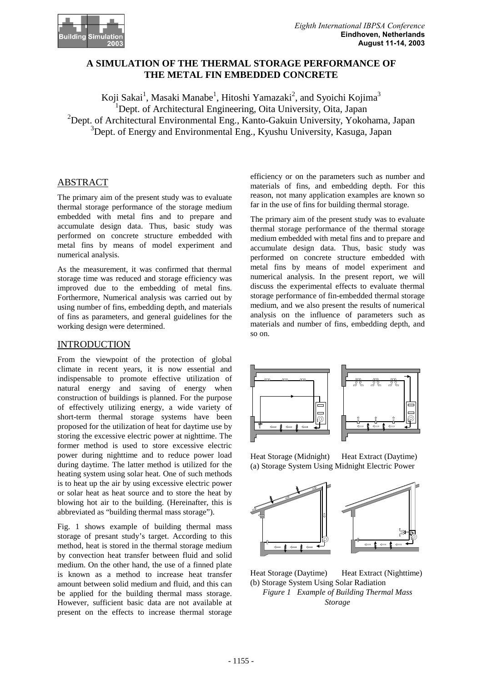

# **A SIMULATION OF THE THERMAL STORAGE PERFORMANCE OF THE METAL FIN EMBEDDED CONCRETE**

Koji Sakai<sup>1</sup>, Masaki Manabe<sup>1</sup>, Hitoshi Yamazaki<sup>2</sup>, and Syoichi Kojima<sup>3</sup> <sup>1</sup>Dept. of Architectural Engineering, Oita University, Oita, Japan <sup>2</sup>Dept. of Architectural Environmental Eng., Kanto-Gakuin University, Yokohama, Japan <sup>3</sup>Dept. of Energy and Environmental Eng., Kyushu University, Kasuga, Japan

# ABSTRACT

The primary aim of the present study was to evaluate thermal storage performance of the storage medium embedded with metal fins and to prepare and accumulate design data. Thus, basic study was performed on concrete structure embedded with metal fins by means of model experiment and numerical analysis.

As the measurement, it was confirmed that thermal storage time was reduced and storage efficiency was improved due to the embedding of metal fins. Forthermore, Numerical analysis was carried out by using number of fins, embedding depth, and materials of fins as parameters, and general guidelines for the working design were determined.

# INTRODUCTION

From the viewpoint of the protection of global climate in recent years, it is now essential and indispensable to promote effective utilization of natural energy and saving of energy when construction of buildings is planned. For the purpose of effectively utilizing energy, a wide variety of short-term thermal storage systems have been proposed for the utilization of heat for daytime use by storing the excessive electric power at nighttime. The former method is used to store excessive electric power during nighttime and to reduce power load during daytime. The latter method is utilized for the heating system using solar heat. One of such methods is to heat up the air by using excessive electric power or solar heat as heat source and to store the heat by blowing hot air to the building. (Hereinafter, this is abbreviated as "building thermal mass storage").

Fig. 1 shows example of building thermal mass storage of presant study's target. According to this method, heat is stored in the thermal storage medium by convection heat transfer between fluid and solid medium. On the other hand, the use of a finned plate is known as a method to increase heat transfer amount between solid medium and fluid, and this can be applied for the building thermal mass storage. However, sufficient basic data are not available at present on the effects to increase thermal storage

efficiency or on the parameters such as number and materials of fins, and embedding depth. For this reason, not many application examples are known so far in the use of fins for building thermal storage.

The primary aim of the present study was to evaluate thermal storage performance of the thermal storage medium embedded with metal fins and to prepare and accumulate design data. Thus, basic study was performed on concrete structure embedded with metal fins by means of model experiment and numerical analysis. In the present report, we will discuss the experimental effects to evaluate thermal storage performance of fin-embedded thermal storage medium, and we also present the results of numerical analysis on the influence of parameters such as materials and number of fins, embedding depth, and so on.



Heat Storage (Midnight) Heat Extract (Daytime) (a) Storage System Using Midnight Electric Power



Heat Storage (Daytime) Heat Extract (Nighttime) (b) Storage System Using Solar Radiation *Figure 1 Example of Building Thermal Mass Storage*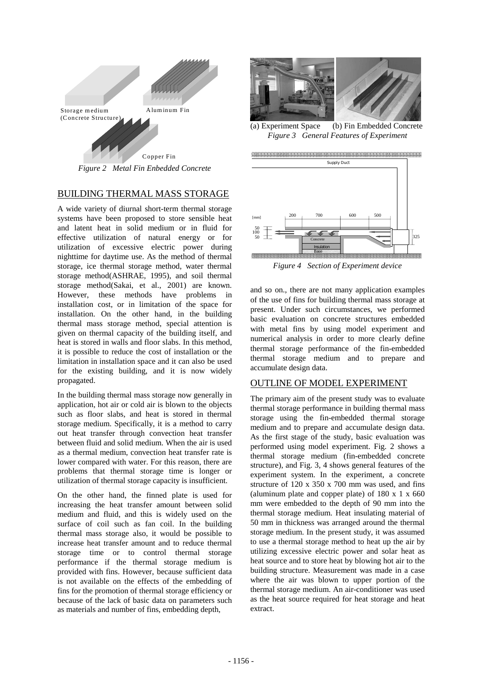

*Figure 2 Metal Fin Enbedded Concrete* 

# BUILDING THERMAL MASS STORAGE

A wide variety of diurnal short-term thermal storage systems have been proposed to store sensible heat and latent heat in solid medium or in fluid for effective utilization of natural energy or for utilization of excessive electric power during nighttime for daytime use. As the method of thermal storage, ice thermal storage method, water thermal storage method(ASHRAE, 1995), and soil thermal storage method(Sakai, et al., 2001) are known. However, these methods have problems in installation cost, or in limitation of the space for installation. On the other hand, in the building thermal mass storage method, special attention is given on thermal capacity of the building itself, and heat is stored in walls and floor slabs. In this method, it is possible to reduce the cost of installation or the limitation in installation space and it can also be used for the existing building, and it is now widely propagated.

In the building thermal mass storage now generally in application, hot air or cold air is blown to the objects such as floor slabs, and heat is stored in thermal storage medium. Specifically, it is a method to carry out heat transfer through convection heat transfer between fluid and solid medium. When the air is used as a thermal medium, convection heat transfer rate is lower compared with water. For this reason, there are problems that thermal storage time is longer or utilization of thermal storage capacity is insufficient.

On the other hand, the finned plate is used for increasing the heat transfer amount between solid medium and fluid, and this is widely used on the surface of coil such as fan coil. In the building thermal mass storage also, it would be possible to increase heat transfer amount and to reduce thermal storage time or to control thermal storage performance if the thermal storage medium is provided with fins. However, because sufficient data is not available on the effects of the embedding of fins for the promotion of thermal storage efficiency or because of the lack of basic data on parameters such as materials and number of fins, embedding depth,



(a) Experiment Space (b) Fin Embedded Concrete *Figure 3 General Features of Experiment* 



*Figure 4 Section of Experiment device* 

and so on., there are not many application examples of the use of fins for building thermal mass storage at present. Under such circumstances, we performed basic evaluation on concrete structures embedded with metal fins by using model experiment and numerical analysis in order to more clearly define thermal storage performance of the fin-embedded thermal storage medium and to prepare and accumulate design data.

# OUTLINE OF MODEL EXPERIMENT

The primary aim of the present study was to evaluate thermal storage performance in building thermal mass storage using the fin-embedded thermal storage medium and to prepare and accumulate design data. As the first stage of the study, basic evaluation was performed using model experiment. Fig. 2 shows a thermal storage medium (fin-embedded concrete structure), and Fig. 3, 4 shows general features of the experiment system. In the experiment, a concrete structure of  $120 \times 350 \times 700$  mm was used, and fins (aluminum plate and copper plate) of  $180 \times 1 \times 660$ mm were embedded to the depth of 90 mm into the thermal storage medium. Heat insulating material of 50 mm in thickness was arranged around the thermal storage medium. In the present study, it was assumed to use a thermal storage method to heat up the air by utilizing excessive electric power and solar heat as heat source and to store heat by blowing hot air to the building structure. Measurement was made in a case where the air was blown to upper portion of the thermal storage medium. An air-conditioner was used as the heat source required for heat storage and heat extract.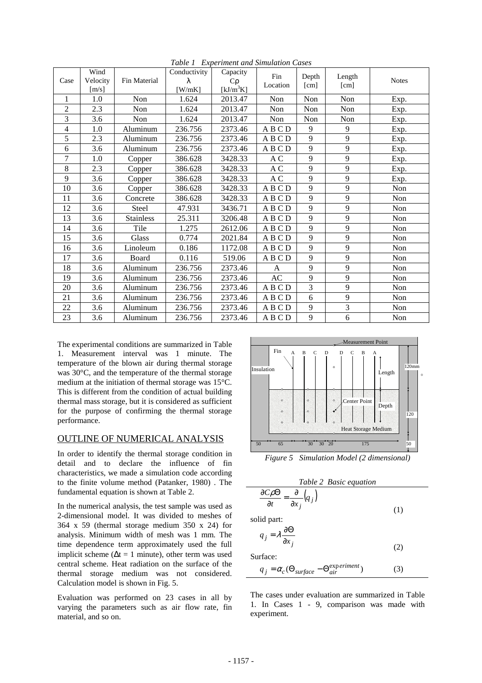| Case           | Wind<br>Velocity<br>$\lceil m/s \rceil$ | Fin Material     | Conductivity<br>λ<br>$[$ W/mK] | Capacity<br>$C_{\rho}$<br>$[kJ/m^3K]$ | Fin<br>Depth<br>Length<br>Location<br>[cm]<br>[cm] |     | <b>Notes</b> |      |
|----------------|-----------------------------------------|------------------|--------------------------------|---------------------------------------|----------------------------------------------------|-----|--------------|------|
| 1              | 1.0                                     | Non              | 1.624                          | 2013.47                               | Non                                                | Non | Non          | Exp. |
| $\overline{c}$ | 2.3                                     | Non              | 1.624                          | 2013.47                               | Non                                                | Non | Non          | Exp. |
| 3              | 3.6                                     | Non              | 1.624                          | 2013.47                               | Non                                                | Non | Non          | Exp. |
| $\overline{4}$ | 1.0                                     | Aluminum         | 236.756                        | 2373.46                               | ABCD                                               | 9   | 9            | Exp. |
| 5              | 2.3                                     | Aluminum         | 236.756                        | 2373.46                               | ABCD                                               | 9   | 9            | Exp. |
| 6              | 3.6                                     | Aluminum         | 236.756                        | 2373.46                               | ABCD                                               | 9   | 9            | Exp. |
| $\tau$         | 1.0                                     | Copper           | 386.628                        | 3428.33                               | A C                                                | 9   | 9            | Exp. |
| 8              | 2.3                                     | Copper           | 386.628                        | 3428.33                               | A C                                                | 9   | 9            | Exp. |
| 9              | 3.6                                     | Copper           | 386.628                        | 3428.33                               | A C                                                | 9   | 9            | Exp. |
| 10             | 3.6                                     | Copper           | 386.628                        | 3428.33                               | ABCD                                               | 9   | 9            | Non  |
| 11             | 3.6                                     | Concrete         | 386.628                        | 3428.33                               | ABCD                                               | 9   | 9            | Non  |
| 12             | 3.6                                     | Steel            | 47.931                         | 3436.71                               | <b>ABCD</b>                                        | 9   | 9            | Non  |
| 13             | 3.6                                     | <b>Stainless</b> | 25.311                         | 3206.48                               | ABCD                                               | 9   | 9            | Non  |
| 14             | 3.6                                     | Tile             | 1.275                          | 2612.06                               | ABCD                                               | 9   | 9            | Non  |
| 15             | 3.6                                     | Glass            | 0.774                          | 2021.84                               | ABCD                                               | 9   | 9            | Non  |
| 16             | 3.6                                     | Linoleum         | 0.186                          | 1172.08                               | <b>ABCD</b>                                        | 9   | 9            | Non  |
| 17             | 3.6                                     | Board            | 0.116                          | 519.06                                | ABCD                                               | 9   | 9            | Non  |
| 18             | 3.6                                     | Aluminum         | 236.756                        | 2373.46                               | A                                                  | 9   | 9            | Non  |
| 19             | 3.6                                     | Aluminum         | 236.756                        | 2373.46                               | AC                                                 | 9   | 9            | Non  |
| 20             | 3.6                                     | Aluminum         | 236.756                        | 2373.46                               | ABCD                                               | 3   | 9            | Non  |
| 21             | 3.6                                     | Aluminum         | 236.756                        | 2373.46                               | <b>ABCD</b>                                        | 6   | 9            | Non  |
| 22             | 3.6                                     | Aluminum         | 236.756                        | 2373.46                               | ABCD                                               | 9   | 3            | Non  |
| 23             | 3.6                                     | Aluminum         | 236.756                        | 2373.46                               | A B C D                                            | 9   | 6            | Non  |

*Table 1 Experiment and Simulation Cases* 

The experimental conditions are summarized in Table 1. Measurement interval was 1 minute. The temperature of the blown air during thermal storage was 30°C, and the temperature of the thermal storage medium at the initiation of thermal storage was 15°C. This is different from the condition of actual building thermal mass storage, but it is considered as sufficient for the purpose of confirming the thermal storage performance.

# OUTLINE OF NUMERICAL ANALYSIS

In order to identify the thermal storage condition in detail and to declare the influence of fin characteristics, we made a simulation code according to the finite volume method (Patanker, 1980) . The fundamental equation is shown at Table 2.

In the numerical analysis, the test sample was used as 2-dimensional model. It was divided to meshes of 364 x 59 (thermal storage medium 350 x 24) for analysis. Minimum width of mesh was 1 mm. The time dependence term approximately used the full implicit scheme ( $\Delta t = 1$  minute), other term was used central scheme. Heat radiation on the surface of the thermal storage medium was not considered. Calculation model is shown in Fig. 5.

Evaluation was performed on 23 cases in all by varying the parameters such as air flow rate, fin material, and so on.



*Figure 5 Simulation Model (2 dimensional)* 



The cases under evaluation are summarized in Table 1. In Cases 1 - 9, comparison was made with experiment.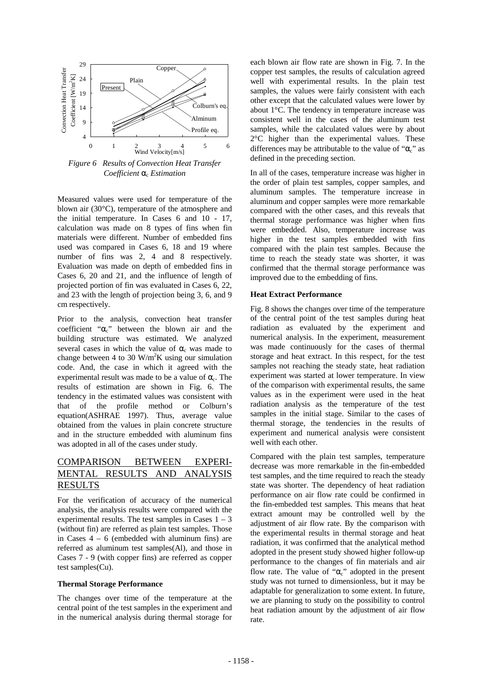

*Figure 6 Results of Convection Heat Transfer Coefficient* αc *Estimation* 

Measured values were used for temperature of the blown air (30°C), temperature of the atmosphere and the initial temperature. In Cases 6 and 10 - 17, calculation was made on 8 types of fins when fin materials were different. Number of embedded fins used was compared in Cases 6, 18 and 19 where number of fins was 2, 4 and 8 respectively. Evaluation was made on depth of embedded fins in Cases 6, 20 and 21, and the influence of length of projected portion of fin was evaluated in Cases 6, 22, and 23 with the length of projection being 3, 6, and 9 cm respectively.

Prior to the analysis, convection heat transfer coefficient "αc" between the blown air and the building structure was estimated. We analyzed several cases in which the value of  $\alpha_c$  was made to change between 4 to 30  $W/m^2K$  using our simulation code. And, the case in which it agreed with the experimental result was made to be a value of  $\alpha_c$ . The results of estimation are shown in Fig. 6. The tendency in the estimated values was consistent with that of the profile method or Colburn's equation(ASHRAE 1997). Thus, average value obtained from the values in plain concrete structure and in the structure embedded with aluminum fins was adopted in all of the cases under study.

# COMPARISON BETWEEN EXPERI-MENTAL RESUL RESULTS

For the verification of accuracy of the numerical analysis, the analysis results were compared with the experimental results. The test samples in Cases  $1 - 3$ (without fin) are referred as plain test samples. Those in Cases  $4 - 6$  (embedded with aluminum fins) are referred as aluminum test samples(Al), and those in Cases 7 - 9 (with copper fins) are referred as copper test samples(Cu).

#### **Thermal Storage Performance**

The changes over time of the temperature at the central point of the test samples in the experiment and in the numerical analysis during thermal storage for each blown air flow rate are shown in Fig. 7. In the copper test samples, the results of calculation agreed well with experimental results. In the plain test samples, the values were fairly consistent with each other except that the calculated values were lower by about 1°C. The tendency in temperature increase was consistent well in the cases of the aluminum test samples, while the calculated values were by about 2°C higher than the experimental values. These differences may be attributable to the value of " $\alpha$ " as defined in the preceding section.

In all of the cases, temperature increase was higher in the order of plain test samples, copper samples, and aluminum samples. The temperature increase in aluminum and copper samples were more remarkable compared with the other cases, and this reveals that thermal storage performance was higher when fins were embedded. Also, temperature increase was higher in the test samples embedded with fins compared with the plain test samples. Because the time to reach the steady state was shorter, it was confirmed that the thermal storage performance was improved due to the embedding of fins.

#### **Heat Extract Performance**

Fig. 8 shows the changes over time of the temperature of the central point of the test samples during heat radiation as evaluated by the experiment and numerical analysis. In the experiment, measurement was made continuously for the cases of thermal storage and heat extract. In this respect, for the test samples not reaching the steady state, heat radiation experiment was started at lower temperature. In view of the comparison with experimental results, the same values as in the experiment were used in the heat radiation analysis as the temperature of the test samples in the initial stage. Similar to the cases of thermal storage, the tendencies in the results of experiment and numerical analysis were consistent well with each other.

Compared with the plain test samples, temperature decrease was more remarkable in the fin-embedded test samples, and the time required to reach the steady state was shorter. The dependency of heat radiation performance on air flow rate could be confirmed in the fin-embedded test samples. This means that heat extract amount may be controlled well by the adjustment of air flow rate. By the comparison with the experimental results in thermal storage and heat radiation, it was confirmed that the analytical method adopted in the present study showed higher follow-up performance to the changes of fin materials and air flow rate. The value of " $\alpha$ <sub>c</sub>" adopted in the present study was not turned to dimensionless, but it may be adaptable for generalization to some extent. In future, we are planning to study on the possibility to control heat radiation amount by the adjustment of air flow rate.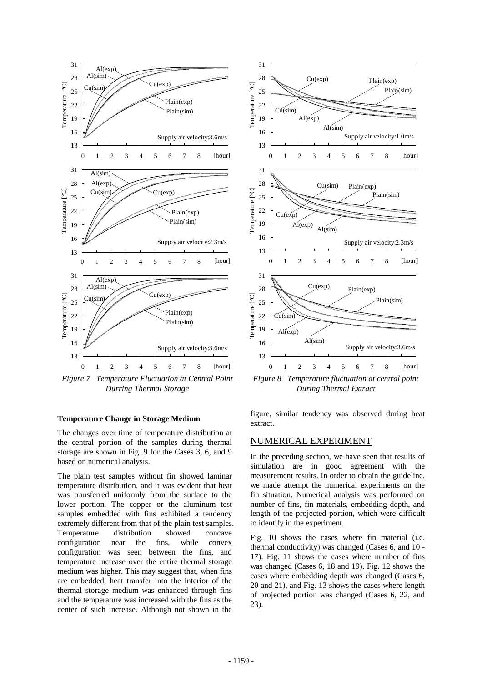

*Figure 7 Temperature Fluctuation at Central Point Durring Thermal Storage* 

#### **Temperature Change in Storage Medium**

The changes over time of temperature distribution at the central portion of the samples during thermal storage are shown in Fig. 9 for the Cases 3, 6, and 9 based on numerical analysis.

The plain test samples without fin showed laminar temperature distribution, and it was evident that heat was transferred uniformly from the surface to the lower portion. The copper or the aluminum test samples embedded with fins exhibited a tendency extremely different from that of the plain test samples. Temperature distribution showed concave configuration near the fins, while convex configuration was seen between the fins, and temperature increase over the entire thermal storage medium was higher. This may suggest that, when fins are embedded, heat transfer into the interior of the thermal storage medium was enhanced through fins and the temperature was increased with the fins as the center of such increase. Although not shown in the



*Figure 8 Temperature fluctuation at central point During Thermal Extract* 

figure, similar tendency was observed during heat extract.

### NUMERICAL EXPERIMENT

In the preceding section, we have seen that results of simulation are in good agreement with the measurement results. In order to obtain the guideline, we made attempt the numerical experiments on the fin situation. Numerical analysis was performed on number of fins, fin materials, embedding depth, and length of the projected portion, which were difficult to identify in the experiment.

Fig. 10 shows the cases where fin material (i.e. thermal conductivity) was changed (Cases 6, and 10 - 17). Fig. 11 shows the cases where number of fins was changed (Cases 6, 18 and 19). Fig. 12 shows the cases where embedding depth was changed (Cases 6, 20 and 21), and Fig. 13 shows the cases where length of projected portion was changed (Cases 6, 22, and 23).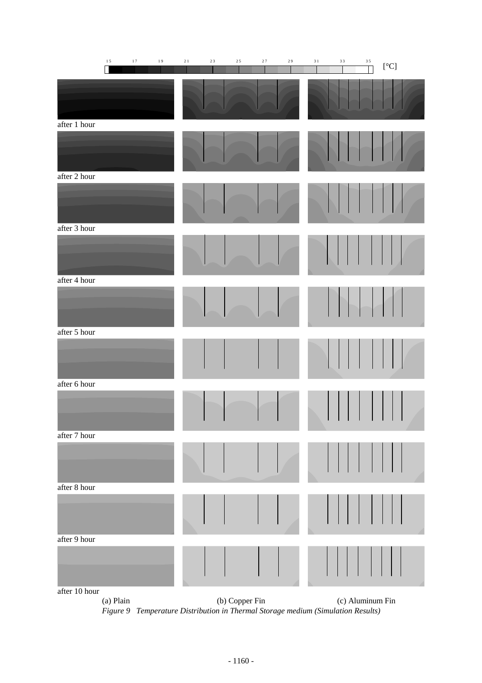|               | $1\,5$    | $1\,7$ | $1\,9$ | $2\;1$ | $2\sqrt{3}$ | $2\;5$         | 27 | $2\,9$ | $3\,1$ | 33     | $3\;5$           | $\rm [^\circ C]$ |  |
|---------------|-----------|--------|--------|--------|-------------|----------------|----|--------|--------|--------|------------------|------------------|--|
|               |           |        |        |        |             |                |    |        |        |        |                  |                  |  |
| after 1 hour  |           |        |        |        |             |                |    |        |        |        |                  |                  |  |
|               |           |        |        |        |             |                |    |        |        |        |                  |                  |  |
| after 2 hour  |           |        |        |        |             |                |    |        |        |        |                  |                  |  |
| after 3 hour  |           |        |        |        |             |                |    |        |        |        |                  |                  |  |
|               |           |        |        |        |             |                |    |        |        |        |                  |                  |  |
| after 4 hour  |           |        |        |        |             |                |    |        |        |        |                  |                  |  |
|               |           |        |        |        |             |                |    |        |        | $\Box$ |                  |                  |  |
| after 5 hour  |           |        |        |        |             |                |    |        |        |        |                  |                  |  |
|               |           |        |        |        |             |                |    |        |        |        |                  |                  |  |
| after 6 hour  |           |        |        |        |             |                |    |        |        |        |                  |                  |  |
|               |           |        |        |        |             |                |    |        |        |        |                  |                  |  |
| after 7 hour  |           |        |        |        |             |                |    |        |        |        |                  |                  |  |
|               |           |        |        |        |             |                |    |        |        |        |                  |                  |  |
| after 8 hour  |           |        |        |        |             |                |    |        |        |        |                  |                  |  |
|               |           |        |        |        |             |                |    |        |        |        |                  |                  |  |
| after 9 hour  |           |        |        |        |             |                |    |        |        |        |                  |                  |  |
|               |           |        |        |        |             |                |    |        |        |        |                  |                  |  |
| after 10 hour | (a) Plain |        |        |        |             | (b) Copper Fin |    |        |        |        | (c) Aluminum Fin |                  |  |

*Figure 9 Temperature Distribution in Thermal Storage medium (Simulation Results)*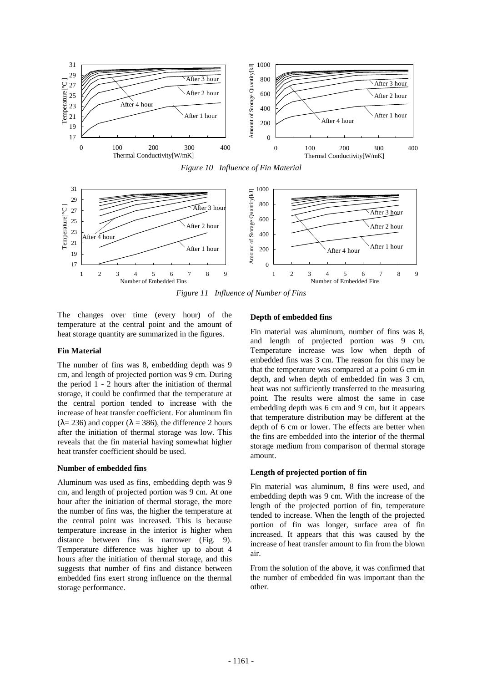

*Figure 10 Influence of Fin Material* 



*Figure 11 Influence of Number of Fins* 

The changes over time (every hour) of the temperature at the central point and the amount of heat storage quantity are summarized in the figures.

### **Fin Material**

The number of fins was 8, embedding depth was 9 cm, and length of projected portion was 9 cm. During the period 1 - 2 hours after the initiation of thermal storage, it could be confirmed that the temperature at the central portion tended to increase with the increase of heat transfer coefficient. For aluminum fin  $(\lambda = 236)$  and copper  $(\lambda = 386)$ , the difference 2 hours after the initiation of thermal storage was low. This reveals that the fin material having somewhat higher heat transfer coefficient should be used.

### **Number of embedded fins**

Aluminum was used as fins, embedding depth was 9 cm, and length of projected portion was 9 cm. At one hour after the initiation of thermal storage, the more the number of fins was, the higher the temperature at the central point was increased. This is because temperature increase in the interior is higher when distance between fins is narrower (Fig. 9). Temperature difference was higher up to about 4 hours after the initiation of thermal storage, and this suggests that number of fins and distance between embedded fins exert strong influence on the thermal storage performance.

### **Depth of embedded fins**

Fin material was aluminum, number of fins was 8, and length of projected portion was 9 cm. Temperature increase was low when depth of embedded fins was 3 cm. The reason for this may be that the temperature was compared at a point 6 cm in depth, and when depth of embedded fin was 3 cm, heat was not sufficiently transferred to the measuring point. The results were almost the same in case embedding depth was 6 cm and 9 cm, but it appears that temperature distribution may be different at the depth of 6 cm or lower. The effects are better when the fins are embedded into the interior of the thermal storage medium from comparison of thermal storage amount.

### **Length of projected portion of fin**

Fin material was aluminum, 8 fins were used, and embedding depth was 9 cm. With the increase of the length of the projected portion of fin, temperature tended to increase. When the length of the projected portion of fin was longer, surface area of fin increased. It appears that this was caused by the increase of heat transfer amount to fin from the blown air.

From the solution of the above, it was confirmed that the number of embedded fin was important than the other.